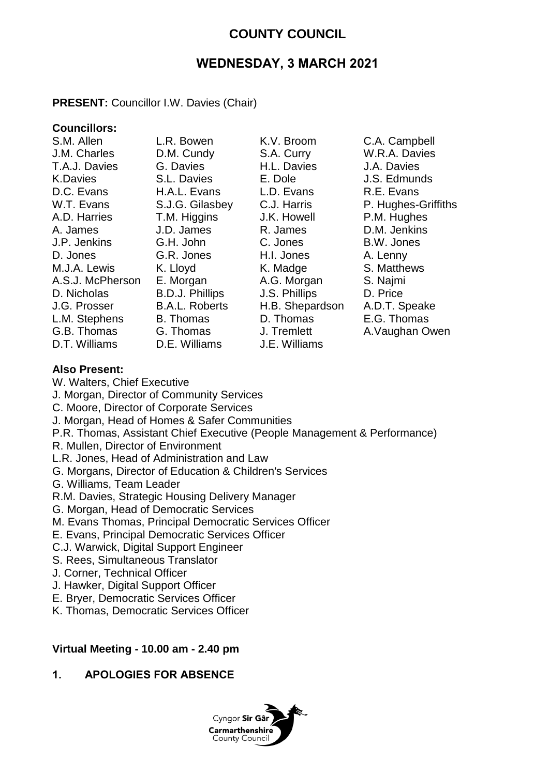# **COUNTY COUNCIL**

# **WEDNESDAY, 3 MARCH 2021**

## **PRESENT:** Councillor I.W. Davies (Chair)

# **Councillors:**

| 3.ML AIIEN       |
|------------------|
| J.M. Charles     |
| T.A.J. Davies    |
| <b>K.Davies</b>  |
| D.C. Evans       |
| W.T. Evans       |
| A.D. Harries     |
| A. James         |
| J.P. Jenkins     |
| D. Jones         |
| M.J.A. Lewis     |
| A.S.J. McPherson |
| D. Nicholas      |
| J.G. Prosser     |
| L.M. Stephens    |
| G.B. Thomas      |
| D.T. Williams    |

D.T. Williams D.E. Williams J.E. Williams

D.M. Cundy S.A. Curry W.R.A. Davies G. Davies H.L. Davies J.A. Davies S.L. Davies E. Dole J.S. Edmunds D.C. Evans H.A.L. Evans L.D. Evans R.E. Evans T.M. Higgins J.K. Howell P.M. Hughes A. James J.D. James R. James D.M. Jenkins G.H. John C. Jones B.W. Jones G.R. Jones H.I. Jones A. Lenny K. Lloyd K. Madge S. Matthews E. Morgan A.G. Morgan S. Najmi B.D.J. Phillips J.S. Phillips D. Price B.A.L. Roberts H.B. Shepardson A.D.T. Speake B. Thomas D. Thomas E.G. Thomas G. Thomas J. Tremlett A.Vaughan Owen

L.R. Bowen K.V. Broom C.A. Campbell S.J.G. Gilasbey C.J. Harris P. Hughes-Griffiths

## **Also Present:**

W. Walters, Chief Executive

- J. Morgan, Director of Community Services
- C. Moore, Director of Corporate Services
- J. Morgan, Head of Homes & Safer Communities
- P.R. Thomas, Assistant Chief Executive (People Management & Performance)
- R. Mullen, Director of Environment
- L.R. Jones, Head of Administration and Law
- G. Morgans, Director of Education & Children's Services
- G. Williams, Team Leader
- R.M. Davies, Strategic Housing Delivery Manager
- G. Morgan, Head of Democratic Services
- M. Evans Thomas, Principal Democratic Services Officer
- E. Evans, Principal Democratic Services Officer
- C.J. Warwick, Digital Support Engineer
- S. Rees, Simultaneous Translator
- J. Corner, Technical Officer
- J. Hawker, Digital Support Officer
- E. Bryer, Democratic Services Officer
- K. Thomas, Democratic Services Officer

#### **Virtual Meeting - 10.00 am - 2.40 pm**

#### **1. APOLOGIES FOR ABSENCE**

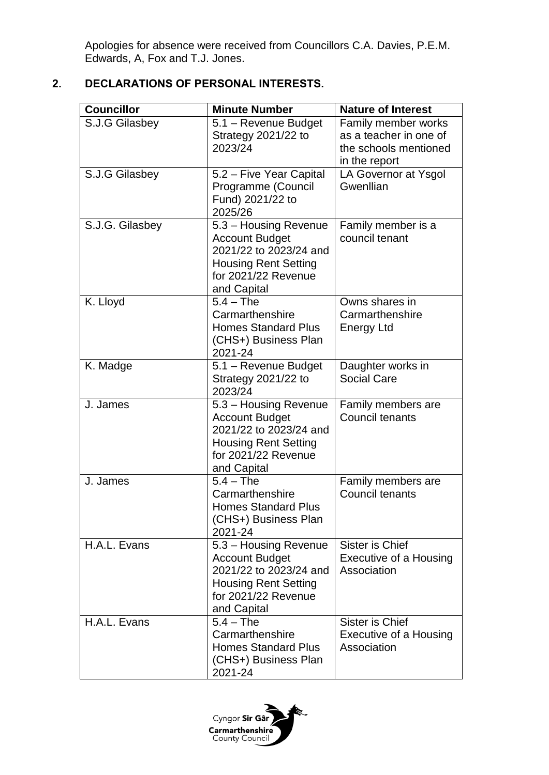Apologies for absence were received from Councillors C.A. Davies, P.E.M. Edwards, A, Fox and T.J. Jones.

## **2. DECLARATIONS OF PERSONAL INTERESTS.**

| <b>Councillor</b> | <b>Minute Number</b>                                                                                                                          | <b>Nature of Interest</b>                                                               |
|-------------------|-----------------------------------------------------------------------------------------------------------------------------------------------|-----------------------------------------------------------------------------------------|
| S.J.G Gilasbey    | 5.1 - Revenue Budget<br>Strategy 2021/22 to<br>2023/24                                                                                        | Family member works<br>as a teacher in one of<br>the schools mentioned<br>in the report |
| S.J.G Gilasbey    | 5.2 - Five Year Capital<br>Programme (Council<br>Fund) 2021/22 to<br>2025/26                                                                  | LA Governor at Ysgol<br>Gwenllian                                                       |
| S.J.G. Gilasbey   | 5.3 - Housing Revenue<br><b>Account Budget</b><br>2021/22 to 2023/24 and<br><b>Housing Rent Setting</b><br>for 2021/22 Revenue<br>and Capital | Family member is a<br>council tenant                                                    |
| K. Lloyd          | $5.4 - The$<br>Carmarthenshire<br><b>Homes Standard Plus</b><br>(CHS+) Business Plan<br>2021-24                                               | Owns shares in<br>Carmarthenshire<br><b>Energy Ltd</b>                                  |
| K. Madge          | 5.1 - Revenue Budget<br>Strategy 2021/22 to<br>2023/24                                                                                        | Daughter works in<br><b>Social Care</b>                                                 |
| J. James          | 5.3 - Housing Revenue<br><b>Account Budget</b><br>2021/22 to 2023/24 and<br><b>Housing Rent Setting</b><br>for 2021/22 Revenue<br>and Capital | Family members are<br>Council tenants                                                   |
| J. James          | $5.4 - The$<br>Carmarthenshire<br><b>Homes Standard Plus</b><br>(CHS+) Business Plan<br>2021-24                                               | Family members are<br>Council tenants                                                   |
| H.A.L. Evans      | 5.3 - Housing Revenue<br><b>Account Budget</b><br>2021/22 to 2023/24 and<br><b>Housing Rent Setting</b><br>for 2021/22 Revenue<br>and Capital | <b>Sister is Chief</b><br>Executive of a Housing<br>Association                         |
| H.A.L. Evans      | $5.4 - The$<br>Carmarthenshire<br><b>Homes Standard Plus</b><br>(CHS+) Business Plan<br>2021-24                                               | Sister is Chief<br>Executive of a Housing<br>Association                                |

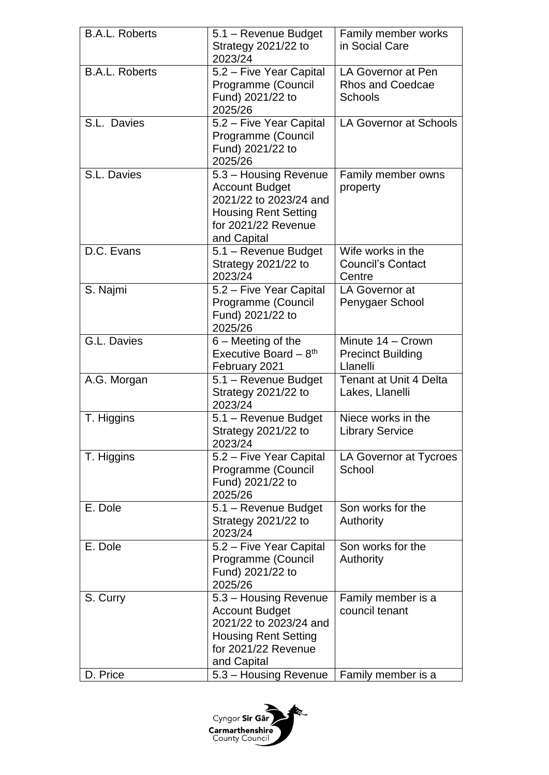| <b>B.A.L. Roberts</b> | 5.1 - Revenue Budget<br>Strategy 2021/22 to<br>2023/24                                                                                        | Family member works<br>in Social Care                           |
|-----------------------|-----------------------------------------------------------------------------------------------------------------------------------------------|-----------------------------------------------------------------|
| <b>B.A.L. Roberts</b> | 5.2 - Five Year Capital<br>Programme (Council<br>Fund) 2021/22 to<br>2025/26                                                                  | LA Governor at Pen<br><b>Rhos and Coedcae</b><br><b>Schools</b> |
| S.L. Davies           | 5.2 - Five Year Capital<br>Programme (Council<br>Fund) 2021/22 to<br>2025/26                                                                  | <b>LA Governor at Schools</b>                                   |
| S.L. Davies           | 5.3 - Housing Revenue<br><b>Account Budget</b><br>2021/22 to 2023/24 and<br><b>Housing Rent Setting</b><br>for 2021/22 Revenue<br>and Capital | Family member owns<br>property                                  |
| D.C. Evans            | 5.1 - Revenue Budget<br>Strategy 2021/22 to<br>2023/24                                                                                        | Wife works in the<br><b>Council's Contact</b><br>Centre         |
| S. Najmi              | 5.2 - Five Year Capital<br>Programme (Council<br>Fund) 2021/22 to<br>2025/26                                                                  | LA Governor at<br>Penygaer School                               |
| G.L. Davies           | 6 – Meeting of the<br>Executive Board $-8$ <sup>th</sup><br>February 2021                                                                     | Minute 14 - Crown<br><b>Precinct Building</b><br>Llanelli       |
| A.G. Morgan           | 5.1 - Revenue Budget<br>Strategy 2021/22 to<br>2023/24                                                                                        | <b>Tenant at Unit 4 Delta</b><br>Lakes, Llanelli                |
| T. Higgins            | 5.1 - Revenue Budget<br>Strategy 2021/22 to<br>2023/24                                                                                        | Niece works in the<br><b>Library Service</b>                    |
| T. Higgins            | 5.2 - Five Year Capital<br>Programme (Council<br>Fund) 2021/22 to<br>2025/26                                                                  | LA Governor at Tycroes<br>School                                |
| E. Dole               | 5.1 - Revenue Budget<br>Strategy 2021/22 to<br>2023/24                                                                                        | Son works for the<br>Authority                                  |
| E. Dole               | 5.2 - Five Year Capital<br>Programme (Council<br>Fund) 2021/22 to<br>2025/26                                                                  | Son works for the<br>Authority                                  |
| S. Curry              | 5.3 - Housing Revenue<br><b>Account Budget</b><br>2021/22 to 2023/24 and<br><b>Housing Rent Setting</b><br>for 2021/22 Revenue<br>and Capital | Family member is a<br>council tenant                            |
| D. Price              | 5.3 - Housing Revenue                                                                                                                         | Family member is a                                              |

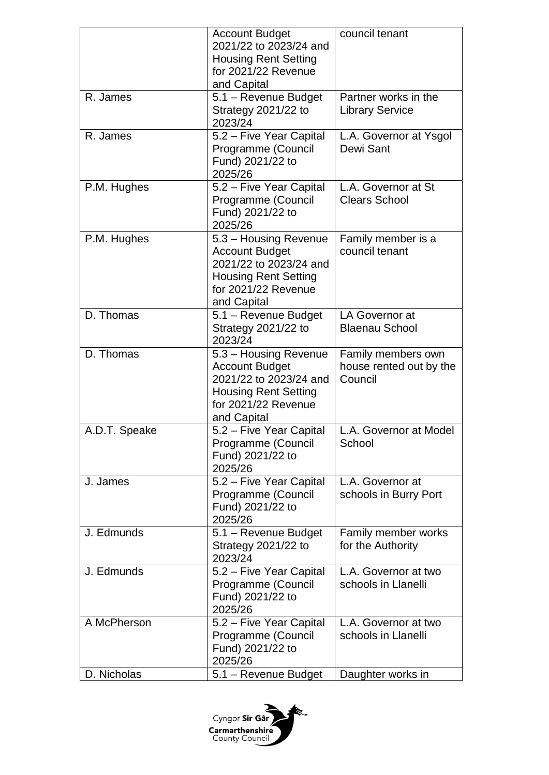|               | <b>Account Budget</b><br>2021/22 to 2023/24 and<br><b>Housing Rent Setting</b><br>for 2021/22 Revenue<br>and Capital                          | council tenant                                           |
|---------------|-----------------------------------------------------------------------------------------------------------------------------------------------|----------------------------------------------------------|
| R. James      | 5.1 - Revenue Budget<br>Strategy 2021/22 to<br>2023/24                                                                                        | Partner works in the<br><b>Library Service</b>           |
| R. James      | 5.2 - Five Year Capital<br>Programme (Council<br>Fund) 2021/22 to<br>2025/26                                                                  | L.A. Governor at Ysgol<br>Dewi Sant                      |
| P.M. Hughes   | 5.2 - Five Year Capital<br>Programme (Council<br>Fund) 2021/22 to<br>2025/26                                                                  | L.A. Governor at St<br><b>Clears School</b>              |
| P.M. Hughes   | 5.3 - Housing Revenue<br><b>Account Budget</b><br>2021/22 to 2023/24 and<br><b>Housing Rent Setting</b><br>for 2021/22 Revenue<br>and Capital | Family member is a<br>council tenant                     |
| D. Thomas     | 5.1 - Revenue Budget<br>Strategy 2021/22 to<br>2023/24                                                                                        | LA Governor at<br><b>Blaenau School</b>                  |
| D. Thomas     | 5.3 – Housing Revenue<br><b>Account Budget</b><br>2021/22 to 2023/24 and<br><b>Housing Rent Setting</b><br>for 2021/22 Revenue<br>and Capital | Family members own<br>house rented out by the<br>Council |
| A.D.T. Speake | 5.2 – Five Year Capital<br>Programme (Council<br>Fund) 2021/22 to<br>2025/26                                                                  | L.A. Governor at Model<br>School                         |
| J. James      | 5.2 - Five Year Capital<br>Programme (Council<br>Fund) 2021/22 to<br>2025/26                                                                  | L.A. Governor at<br>schools in Burry Port                |
| J. Edmunds    | 5.1 - Revenue Budget<br>Strategy 2021/22 to<br>2023/24                                                                                        | Family member works<br>for the Authority                 |
| J. Edmunds    | 5.2 - Five Year Capital<br>Programme (Council<br>Fund) 2021/22 to<br>2025/26                                                                  | L.A. Governor at two<br>schools in Llanelli              |
| A McPherson   | 5.2 - Five Year Capital<br>Programme (Council<br>Fund) 2021/22 to<br>2025/26                                                                  | L.A. Governor at two<br>schools in Llanelli              |
| D. Nicholas   | 5.1 - Revenue Budget                                                                                                                          | Daughter works in                                        |

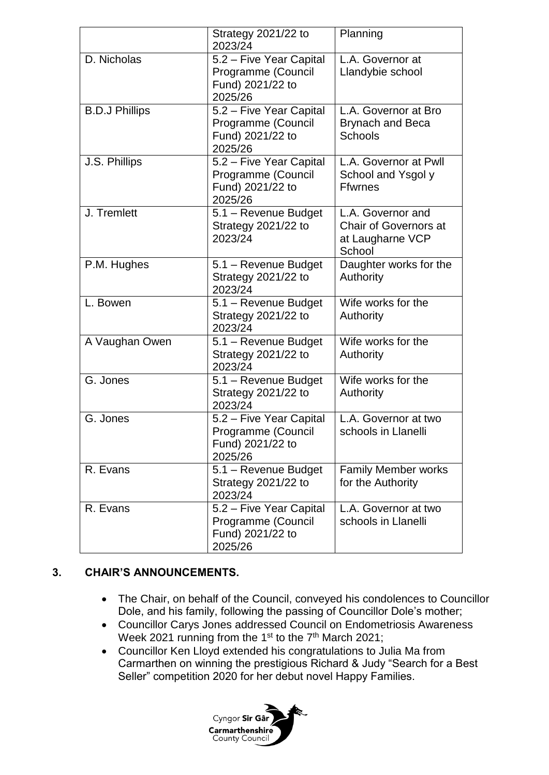|                       | Strategy 2021/22 to<br>2023/24                                               | Planning                                                                        |
|-----------------------|------------------------------------------------------------------------------|---------------------------------------------------------------------------------|
| D. Nicholas           | 5.2 - Five Year Capital<br>Programme (Council<br>Fund) 2021/22 to<br>2025/26 | L.A. Governor at<br>Llandybie school                                            |
| <b>B.D.J Phillips</b> | 5.2 - Five Year Capital<br>Programme (Council<br>Fund) 2021/22 to<br>2025/26 | L.A. Governor at Bro<br><b>Brynach and Beca</b><br><b>Schools</b>               |
| J.S. Phillips         | 5.2 - Five Year Capital<br>Programme (Council<br>Fund) 2021/22 to<br>2025/26 | L.A. Governor at Pwll<br>School and Ysgol y<br><b>Ffwrnes</b>                   |
| J. Tremlett           | 5.1 - Revenue Budget<br>Strategy 2021/22 to<br>2023/24                       | L.A. Governor and<br><b>Chair of Governors at</b><br>at Laugharne VCP<br>School |
| P.M. Hughes           | 5.1 - Revenue Budget<br>Strategy 2021/22 to<br>2023/24                       | Daughter works for the<br>Authority                                             |
| L. Bowen              | 5.1 - Revenue Budget<br>Strategy 2021/22 to<br>2023/24                       | Wife works for the<br>Authority                                                 |
| A Vaughan Owen        | 5.1 - Revenue Budget<br>Strategy 2021/22 to<br>2023/24                       | Wife works for the<br>Authority                                                 |
| G. Jones              | 5.1 - Revenue Budget<br>Strategy 2021/22 to<br>2023/24                       | Wife works for the<br>Authority                                                 |
| G. Jones              | 5.2 - Five Year Capital<br>Programme (Council<br>Fund) 2021/22 to<br>2025/26 | L.A. Governor at two<br>schools in Llanelli                                     |
| R. Evans              | 5.1 - Revenue Budget<br>Strategy 2021/22 to<br>2023/24                       | <b>Family Member works</b><br>for the Authority                                 |
| R. Evans              | 5.2 - Five Year Capital<br>Programme (Council<br>Fund) 2021/22 to<br>2025/26 | L.A. Governor at two<br>schools in Llanelli                                     |

## **3. CHAIR'S ANNOUNCEMENTS.**

- The Chair, on behalf of the Council, conveyed his condolences to Councillor Dole, and his family, following the passing of Councillor Dole's mother;
- Councillor Carys Jones addressed Council on Endometriosis Awareness Week 2021 running from the 1<sup>st</sup> to the 7<sup>th</sup> March 2021;
- Councillor Ken Lloyd extended his congratulations to Julia Ma from Carmarthen on winning the prestigious Richard & Judy "Search for a Best Seller" competition 2020 for her debut novel Happy Families.

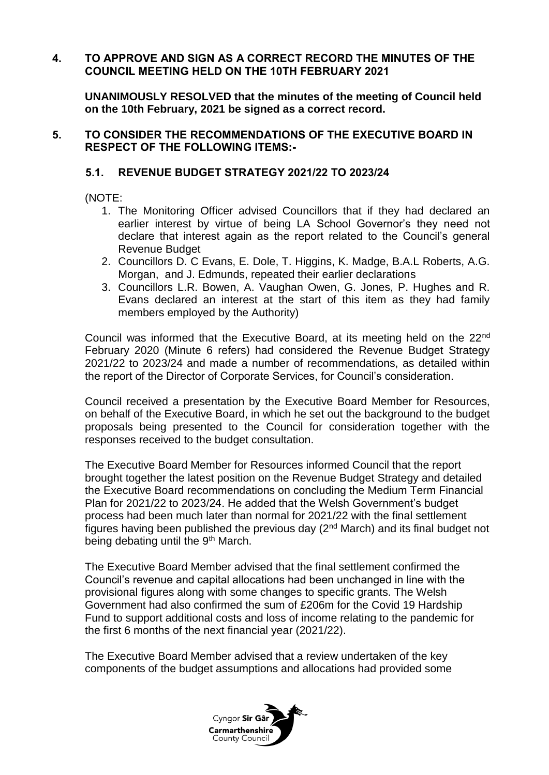## **4. TO APPROVE AND SIGN AS A CORRECT RECORD THE MINUTES OF THE COUNCIL MEETING HELD ON THE 10TH FEBRUARY 2021**

**UNANIMOUSLY RESOLVED that the minutes of the meeting of Council held on the 10th February, 2021 be signed as a correct record.**

#### **5. TO CONSIDER THE RECOMMENDATIONS OF THE EXECUTIVE BOARD IN RESPECT OF THE FOLLOWING ITEMS:-**

## **5.1. REVENUE BUDGET STRATEGY 2021/22 TO 2023/24**

(NOTE:

- 1. The Monitoring Officer advised Councillors that if they had declared an earlier interest by virtue of being LA School Governor's they need not declare that interest again as the report related to the Council's general Revenue Budget
- 2. Councillors D. C Evans, E. Dole, T. Higgins, K. Madge, B.A.L Roberts, A.G. Morgan, and J. Edmunds, repeated their earlier declarations
- 3. Councillors L.R. Bowen, A. Vaughan Owen, G. Jones, P. Hughes and R. Evans declared an interest at the start of this item as they had family members employed by the Authority)

Council was informed that the Executive Board, at its meeting held on the 22nd February 2020 (Minute 6 refers) had considered the Revenue Budget Strategy 2021/22 to 2023/24 and made a number of recommendations, as detailed within the report of the Director of Corporate Services, for Council's consideration.

Council received a presentation by the Executive Board Member for Resources, on behalf of the Executive Board, in which he set out the background to the budget proposals being presented to the Council for consideration together with the responses received to the budget consultation.

The Executive Board Member for Resources informed Council that the report brought together the latest position on the Revenue Budget Strategy and detailed the Executive Board recommendations on concluding the Medium Term Financial Plan for 2021/22 to 2023/24. He added that the Welsh Government's budget process had been much later than normal for 2021/22 with the final settlement figures having been published the previous day  $(2^{nd}$  March) and its final budget not being debating until the 9<sup>th</sup> March.

The Executive Board Member advised that the final settlement confirmed the Council's revenue and capital allocations had been unchanged in line with the provisional figures along with some changes to specific grants. The Welsh Government had also confirmed the sum of £206m for the Covid 19 Hardship Fund to support additional costs and loss of income relating to the pandemic for the first 6 months of the next financial year (2021/22).

The Executive Board Member advised that a review undertaken of the key components of the budget assumptions and allocations had provided some

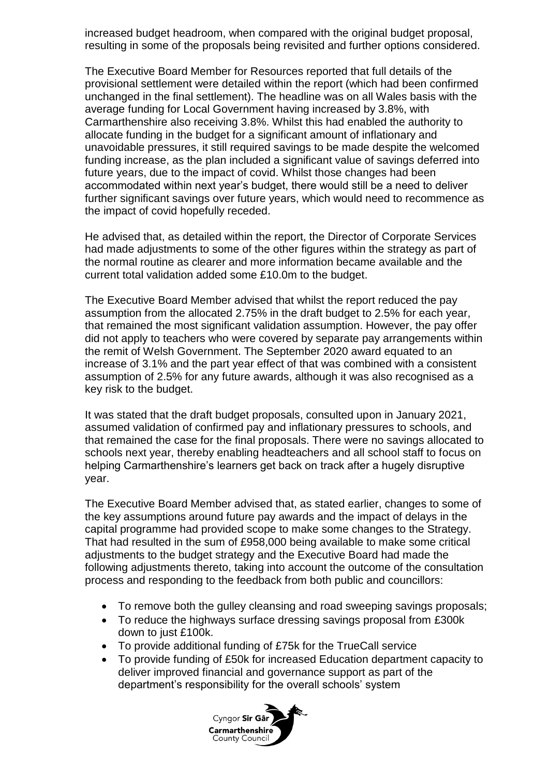increased budget headroom, when compared with the original budget proposal, resulting in some of the proposals being revisited and further options considered.

The Executive Board Member for Resources reported that full details of the provisional settlement were detailed within the report (which had been confirmed unchanged in the final settlement). The headline was on all Wales basis with the average funding for Local Government having increased by 3.8%, with Carmarthenshire also receiving 3.8%. Whilst this had enabled the authority to allocate funding in the budget for a significant amount of inflationary and unavoidable pressures, it still required savings to be made despite the welcomed funding increase, as the plan included a significant value of savings deferred into future years, due to the impact of covid. Whilst those changes had been accommodated within next year's budget, there would still be a need to deliver further significant savings over future years, which would need to recommence as the impact of covid hopefully receded.

He advised that, as detailed within the report, the Director of Corporate Services had made adjustments to some of the other figures within the strategy as part of the normal routine as clearer and more information became available and the current total validation added some £10.0m to the budget.

The Executive Board Member advised that whilst the report reduced the pay assumption from the allocated 2.75% in the draft budget to 2.5% for each year, that remained the most significant validation assumption. However, the pay offer did not apply to teachers who were covered by separate pay arrangements within the remit of Welsh Government. The September 2020 award equated to an increase of 3.1% and the part year effect of that was combined with a consistent assumption of 2.5% for any future awards, although it was also recognised as a key risk to the budget.

It was stated that the draft budget proposals, consulted upon in January 2021, assumed validation of confirmed pay and inflationary pressures to schools, and that remained the case for the final proposals. There were no savings allocated to schools next year, thereby enabling headteachers and all school staff to focus on helping Carmarthenshire's learners get back on track after a hugely disruptive year.

The Executive Board Member advised that, as stated earlier, changes to some of the key assumptions around future pay awards and the impact of delays in the capital programme had provided scope to make some changes to the Strategy. That had resulted in the sum of £958,000 being available to make some critical adjustments to the budget strategy and the Executive Board had made the following adjustments thereto, taking into account the outcome of the consultation process and responding to the feedback from both public and councillors:

- To remove both the gulley cleansing and road sweeping savings proposals;
- To reduce the highways surface dressing savings proposal from £300k down to just £100k.
- To provide additional funding of £75k for the TrueCall service
- To provide funding of £50k for increased Education department capacity to deliver improved financial and governance support as part of the department's responsibility for the overall schools' system

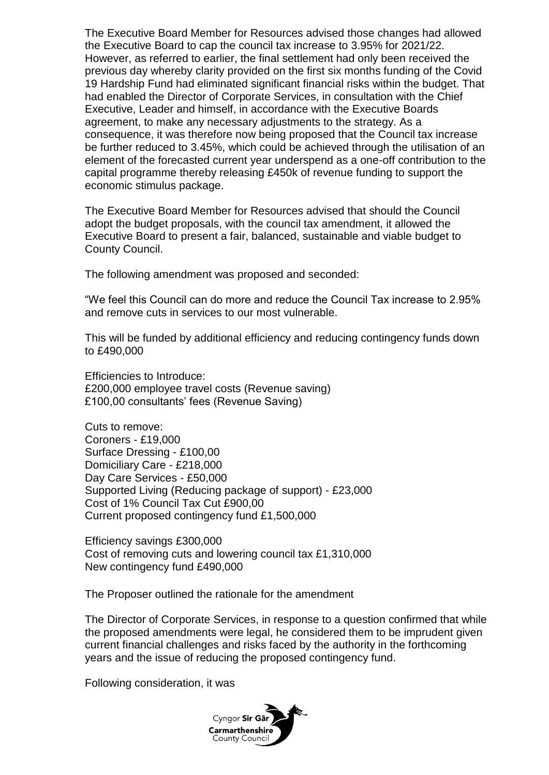The Executive Board Member for Resources advised those changes had allowed the Executive Board to cap the council tax increase to 3.95% for 2021/22. However, as referred to earlier, the final settlement had only been received the previous day whereby clarity provided on the first six months funding of the Covid 19 Hardship Fund had eliminated significant financial risks within the budget. That had enabled the Director of Corporate Services, in consultation with the Chief Executive, Leader and himself, in accordance with the Executive Boards agreement, to make any necessary adjustments to the strategy. As a consequence, it was therefore now being proposed that the Council tax increase be further reduced to 3.45%, which could be achieved through the utilisation of an element of the forecasted current year underspend as a one-off contribution to the capital programme thereby releasing £450k of revenue funding to support the economic stimulus package.

The Executive Board Member for Resources advised that should the Council adopt the budget proposals, with the council tax amendment, it allowed the Executive Board to present a fair, balanced, sustainable and viable budget to County Council.

The following amendment was proposed and seconded:

"We feel this Council can do more and reduce the Council Tax increase to 2.95% and remove cuts in services to our most vulnerable.

This will be funded by additional efficiency and reducing contingency funds down to £490,000

Efficiencies to Introduce: £200,000 employee travel costs (Revenue saving) £100,00 consultants' fees (Revenue Saving)

Cuts to remove: Coroners - £19,000 Surface Dressing - £100,00 Domiciliary Care - £218,000 Day Care Services - £50,000 Supported Living (Reducing package of support) - £23,000 Cost of 1% Council Tax Cut £900,00 Current proposed contingency fund £1,500,000

Efficiency savings £300,000 Cost of removing cuts and lowering council tax £1,310,000 New contingency fund £490,000

The Proposer outlined the rationale for the amendment

The Director of Corporate Services, in response to a question confirmed that while the proposed amendments were legal, he considered them to be imprudent given current financial challenges and risks faced by the authority in the forthcoming years and the issue of reducing the proposed contingency fund.

Following consideration, it was

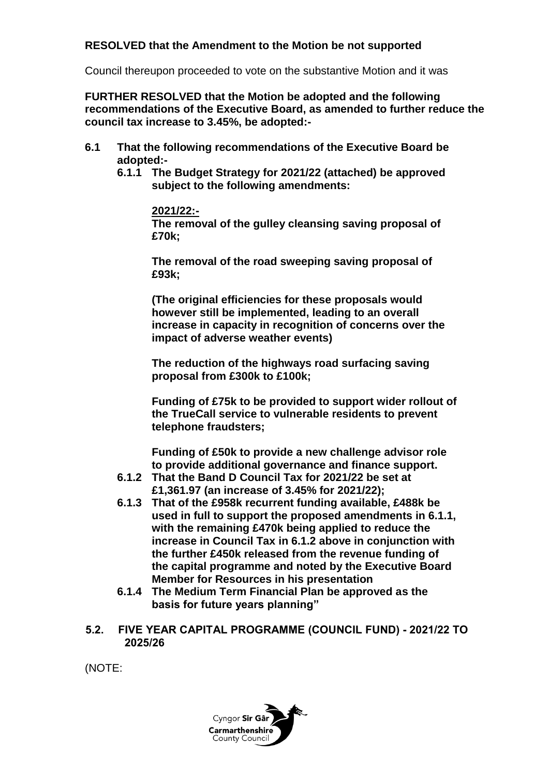## **RESOLVED that the Amendment to the Motion be not supported**

Council thereupon proceeded to vote on the substantive Motion and it was

**FURTHER RESOLVED that the Motion be adopted and the following recommendations of the Executive Board, as amended to further reduce the council tax increase to 3.45%, be adopted:-**

- **6.1 That the following recommendations of the Executive Board be adopted:-**
	- **6.1.1 The Budget Strategy for 2021/22 (attached) be approved subject to the following amendments:**

#### **2021/22:-**

**The removal of the gulley cleansing saving proposal of £70k;**

**The removal of the road sweeping saving proposal of £93k;**

**(The original efficiencies for these proposals would however still be implemented, leading to an overall increase in capacity in recognition of concerns over the impact of adverse weather events)**

**The reduction of the highways road surfacing saving proposal from £300k to £100k;**

**Funding of £75k to be provided to support wider rollout of the TrueCall service to vulnerable residents to prevent telephone fraudsters;**

**Funding of £50k to provide a new challenge advisor role to provide additional governance and finance support.**

- **6.1.2 That the Band D Council Tax for 2021/22 be set at £1,361.97 (an increase of 3.45% for 2021/22);**
- **6.1.3 That of the £958k recurrent funding available, £488k be used in full to support the proposed amendments in 6.1.1, with the remaining £470k being applied to reduce the increase in Council Tax in 6.1.2 above in conjunction with the further £450k released from the revenue funding of the capital programme and noted by the Executive Board Member for Resources in his presentation**
- **6.1.4 The Medium Term Financial Plan be approved as the basis for future years planning"**
- **5.2. FIVE YEAR CAPITAL PROGRAMME (COUNCIL FUND) - 2021/22 TO 2025/26**

(NOTE:

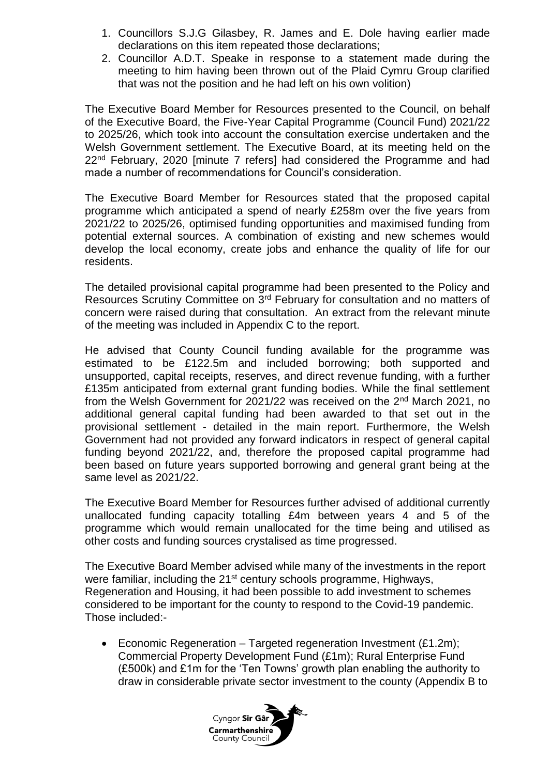- 1. Councillors S.J.G Gilasbey, R. James and E. Dole having earlier made declarations on this item repeated those declarations;
- 2. Councillor A.D.T. Speake in response to a statement made during the meeting to him having been thrown out of the Plaid Cymru Group clarified that was not the position and he had left on his own volition)

The Executive Board Member for Resources presented to the Council, on behalf of the Executive Board, the Five-Year Capital Programme (Council Fund) 2021/22 to 2025/26, which took into account the consultation exercise undertaken and the Welsh Government settlement. The Executive Board, at its meeting held on the 22<sup>nd</sup> February, 2020 [minute 7 refers] had considered the Programme and had made a number of recommendations for Council's consideration.

The Executive Board Member for Resources stated that the proposed capital programme which anticipated a spend of nearly £258m over the five years from 2021/22 to 2025/26, optimised funding opportunities and maximised funding from potential external sources. A combination of existing and new schemes would develop the local economy, create jobs and enhance the quality of life for our residents.

The detailed provisional capital programme had been presented to the Policy and Resources Scrutiny Committee on 3rd February for consultation and no matters of concern were raised during that consultation. An extract from the relevant minute of the meeting was included in Appendix C to the report.

He advised that County Council funding available for the programme was estimated to be £122.5m and included borrowing; both supported and unsupported, capital receipts, reserves, and direct revenue funding, with a further £135m anticipated from external grant funding bodies. While the final settlement from the Welsh Government for 2021/22 was received on the 2nd March 2021, no additional general capital funding had been awarded to that set out in the provisional settlement - detailed in the main report. Furthermore, the Welsh Government had not provided any forward indicators in respect of general capital funding beyond 2021/22, and, therefore the proposed capital programme had been based on future years supported borrowing and general grant being at the same level as 2021/22.

The Executive Board Member for Resources further advised of additional currently unallocated funding capacity totalling £4m between years 4 and 5 of the programme which would remain unallocated for the time being and utilised as other costs and funding sources crystalised as time progressed.

The Executive Board Member advised while many of the investments in the report were familiar, including the 21<sup>st</sup> century schools programme, Highways, Regeneration and Housing, it had been possible to add investment to schemes considered to be important for the county to respond to the Covid-19 pandemic. Those included:-

 Economic Regeneration – Targeted regeneration Investment (£1.2m); Commercial Property Development Fund (£1m); Rural Enterprise Fund (£500k) and £1m for the 'Ten Towns' growth plan enabling the authority to draw in considerable private sector investment to the county (Appendix B to

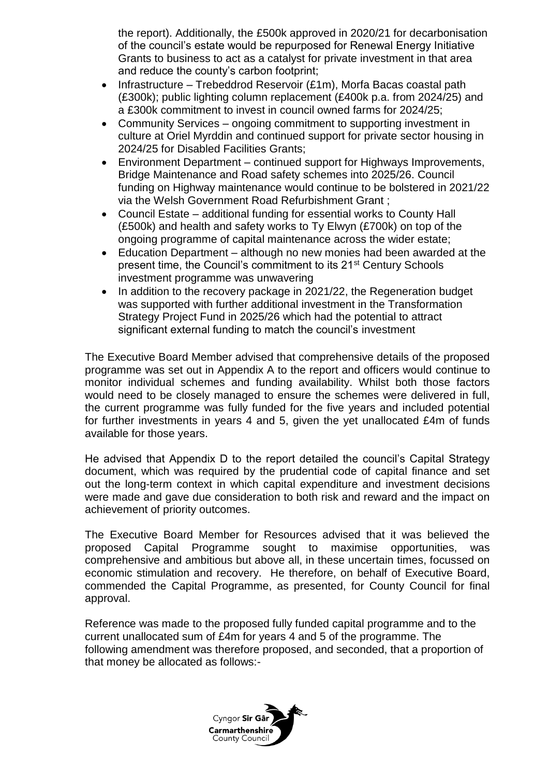the report). Additionally, the £500k approved in 2020/21 for decarbonisation of the council's estate would be repurposed for Renewal Energy Initiative Grants to business to act as a catalyst for private investment in that area and reduce the county's carbon footprint;

- Infrastructure Trebeddrod Reservoir  $(E1m)$ , Morfa Bacas coastal path (£300k); public lighting column replacement (£400k p.a. from 2024/25) and a £300k commitment to invest in council owned farms for 2024/25;
- Community Services ongoing commitment to supporting investment in culture at Oriel Myrddin and continued support for private sector housing in 2024/25 for Disabled Facilities Grants;
- Environment Department continued support for Highways Improvements, Bridge Maintenance and Road safety schemes into 2025/26. Council funding on Highway maintenance would continue to be bolstered in 2021/22 via the Welsh Government Road Refurbishment Grant ;
- Council Estate additional funding for essential works to County Hall (£500k) and health and safety works to Ty Elwyn (£700k) on top of the ongoing programme of capital maintenance across the wider estate;
- Education Department although no new monies had been awarded at the present time, the Council's commitment to its 21st Century Schools investment programme was unwavering
- In addition to the recovery package in 2021/22, the Regeneration budget was supported with further additional investment in the Transformation Strategy Project Fund in 2025/26 which had the potential to attract significant external funding to match the council's investment

The Executive Board Member advised that comprehensive details of the proposed programme was set out in Appendix A to the report and officers would continue to monitor individual schemes and funding availability. Whilst both those factors would need to be closely managed to ensure the schemes were delivered in full, the current programme was fully funded for the five years and included potential for further investments in years 4 and 5, given the yet unallocated £4m of funds available for those years.

He advised that Appendix D to the report detailed the council's Capital Strategy document, which was required by the prudential code of capital finance and set out the long-term context in which capital expenditure and investment decisions were made and gave due consideration to both risk and reward and the impact on achievement of priority outcomes.

The Executive Board Member for Resources advised that it was believed the proposed Capital Programme sought to maximise opportunities, was comprehensive and ambitious but above all, in these uncertain times, focussed on economic stimulation and recovery. He therefore, on behalf of Executive Board, commended the Capital Programme, as presented, for County Council for final approval.

Reference was made to the proposed fully funded capital programme and to the current unallocated sum of £4m for years 4 and 5 of the programme. The following amendment was therefore proposed, and seconded, that a proportion of that money be allocated as follows:-

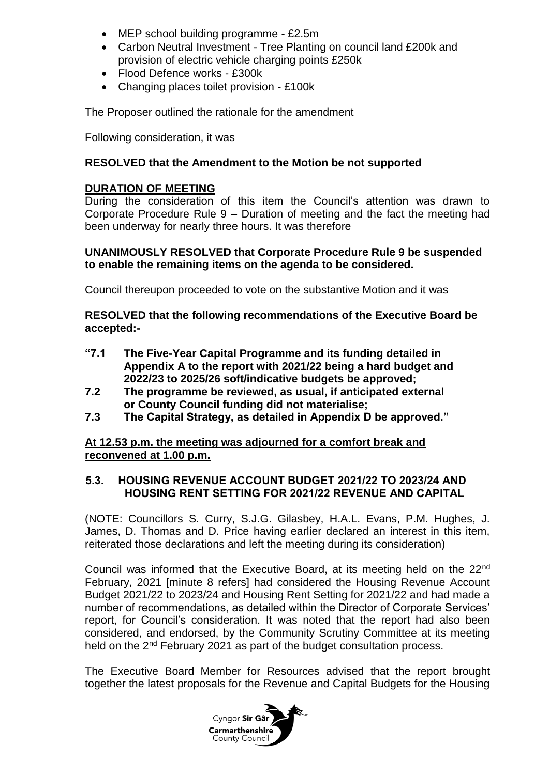- MEP school building programme £2.5m
- Carbon Neutral Investment Tree Planting on council land £200k and provision of electric vehicle charging points £250k
- Flood Defence works £300k
- Changing places toilet provision £100k

The Proposer outlined the rationale for the amendment

Following consideration, it was

### **RESOLVED that the Amendment to the Motion be not supported**

#### **DURATION OF MEETING**

During the consideration of this item the Council's attention was drawn to Corporate Procedure Rule 9 – Duration of meeting and the fact the meeting had been underway for nearly three hours. It was therefore

#### **UNANIMOUSLY RESOLVED that Corporate Procedure Rule 9 be suspended to enable the remaining items on the agenda to be considered.**

Council thereupon proceeded to vote on the substantive Motion and it was

#### **RESOLVED that the following recommendations of the Executive Board be accepted:-**

- **"7.1 The Five-Year Capital Programme and its funding detailed in Appendix A to the report with 2021/22 being a hard budget and 2022/23 to 2025/26 soft/indicative budgets be approved;**
- **7.2 The programme be reviewed, as usual, if anticipated external or County Council funding did not materialise;**
- **7.3 The Capital Strategy, as detailed in Appendix D be approved."**

#### **At 12.53 p.m. the meeting was adjourned for a comfort break and reconvened at 1.00 p.m.**

#### **5.3. HOUSING REVENUE ACCOUNT BUDGET 2021/22 TO 2023/24 AND HOUSING RENT SETTING FOR 2021/22 REVENUE AND CAPITAL**

(NOTE: Councillors S. Curry, S.J.G. Gilasbey, H.A.L. Evans, P.M. Hughes, J. James, D. Thomas and D. Price having earlier declared an interest in this item, reiterated those declarations and left the meeting during its consideration)

Council was informed that the Executive Board, at its meeting held on the 22<sup>nd</sup> February, 2021 [minute 8 refers] had considered the Housing Revenue Account Budget 2021/22 to 2023/24 and Housing Rent Setting for 2021/22 and had made a number of recommendations, as detailed within the Director of Corporate Services' report, for Council's consideration. It was noted that the report had also been considered, and endorsed, by the Community Scrutiny Committee at its meeting held on the 2<sup>nd</sup> February 2021 as part of the budget consultation process.

The Executive Board Member for Resources advised that the report brought together the latest proposals for the Revenue and Capital Budgets for the Housing

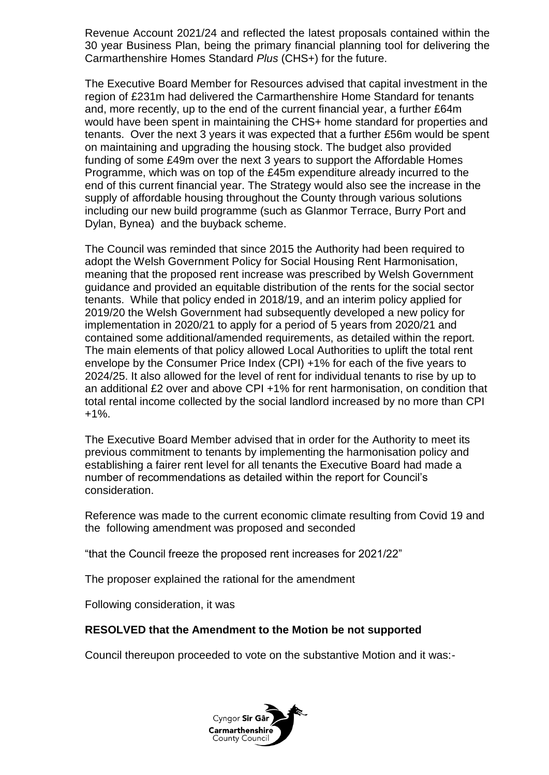Revenue Account 2021/24 and reflected the latest proposals contained within the 30 year Business Plan, being the primary financial planning tool for delivering the Carmarthenshire Homes Standard *Plus* (CHS+) for the future.

The Executive Board Member for Resources advised that capital investment in the region of £231m had delivered the Carmarthenshire Home Standard for tenants and, more recently, up to the end of the current financial year, a further £64m would have been spent in maintaining the CHS+ home standard for properties and tenants. Over the next 3 years it was expected that a further £56m would be spent on maintaining and upgrading the housing stock. The budget also provided funding of some £49m over the next 3 years to support the Affordable Homes Programme, which was on top of the £45m expenditure already incurred to the end of this current financial year. The Strategy would also see the increase in the supply of affordable housing throughout the County through various solutions including our new build programme (such as Glanmor Terrace, Burry Port and Dylan, Bynea) and the buyback scheme.

The Council was reminded that since 2015 the Authority had been required to adopt the Welsh Government Policy for Social Housing Rent Harmonisation, meaning that the proposed rent increase was prescribed by Welsh Government guidance and provided an equitable distribution of the rents for the social sector tenants. While that policy ended in 2018/19, and an interim policy applied for 2019/20 the Welsh Government had subsequently developed a new policy for implementation in 2020/21 to apply for a period of 5 years from 2020/21 and contained some additional/amended requirements, as detailed within the report. The main elements of that policy allowed Local Authorities to uplift the total rent envelope by the Consumer Price Index (CPI) +1% for each of the five years to 2024/25. It also allowed for the level of rent for individual tenants to rise by up to an additional £2 over and above CPI +1% for rent harmonisation, on condition that total rental income collected by the social landlord increased by no more than CPI +1%.

The Executive Board Member advised that in order for the Authority to meet its previous commitment to tenants by implementing the harmonisation policy and establishing a fairer rent level for all tenants the Executive Board had made a number of recommendations as detailed within the report for Council's consideration.

Reference was made to the current economic climate resulting from Covid 19 and the following amendment was proposed and seconded

"that the Council freeze the proposed rent increases for 2021/22"

The proposer explained the rational for the amendment

Following consideration, it was

## **RESOLVED that the Amendment to the Motion be not supported**

Council thereupon proceeded to vote on the substantive Motion and it was:-

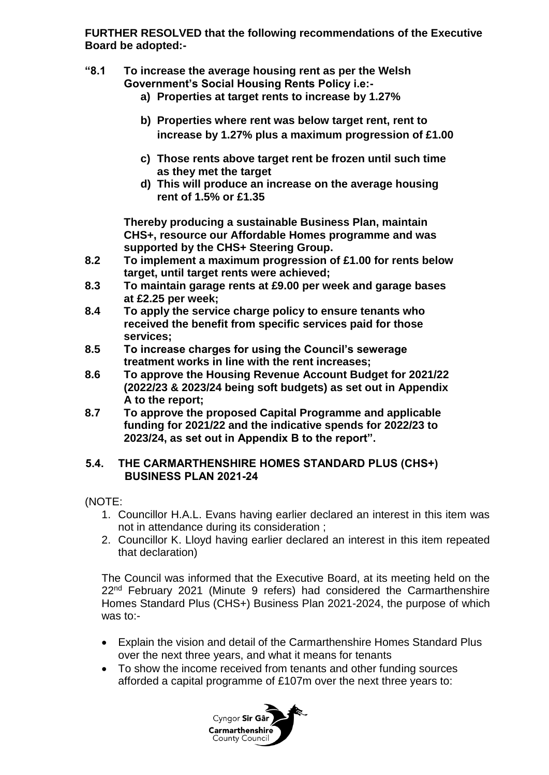**FURTHER RESOLVED that the following recommendations of the Executive Board be adopted:-**

- **"8.1 To increase the average housing rent as per the Welsh Government's Social Housing Rents Policy i.e:**
	- **a) Properties at target rents to increase by 1.27%**
	- **b) Properties where rent was below target rent, rent to increase by 1.27% plus a maximum progression of £1.00**
	- **c) Those rents above target rent be frozen until such time as they met the target**
	- **d) This will produce an increase on the average housing rent of 1.5% or £1.35**

**Thereby producing a sustainable Business Plan, maintain CHS+, resource our Affordable Homes programme and was supported by the CHS+ Steering Group.**

- **8.2 To implement a maximum progression of £1.00 for rents below target, until target rents were achieved;**
- **8.3 To maintain garage rents at £9.00 per week and garage bases at £2.25 per week;**
- **8.4 To apply the service charge policy to ensure tenants who received the benefit from specific services paid for those services;**
- **8.5 To increase charges for using the Council's sewerage treatment works in line with the rent increases;**
- **8.6 To approve the Housing Revenue Account Budget for 2021/22 (2022/23 & 2023/24 being soft budgets) as set out in Appendix A to the report;**
- **8.7 To approve the proposed Capital Programme and applicable funding for 2021/22 and the indicative spends for 2022/23 to 2023/24, as set out in Appendix B to the report".**

## **5.4. THE CARMARTHENSHIRE HOMES STANDARD PLUS (CHS+) BUSINESS PLAN 2021-24**

(NOTE:

- 1. Councillor H.A.L. Evans having earlier declared an interest in this item was not in attendance during its consideration ;
- 2. Councillor K. Lloyd having earlier declared an interest in this item repeated that declaration)

The Council was informed that the Executive Board, at its meeting held on the 22<sup>nd</sup> February 2021 (Minute 9 refers) had considered the Carmarthenshire Homes Standard Plus (CHS+) Business Plan 2021-2024, the purpose of which was to:-

- Explain the vision and detail of the Carmarthenshire Homes Standard Plus over the next three years, and what it means for tenants
- To show the income received from tenants and other funding sources afforded a capital programme of £107m over the next three years to:

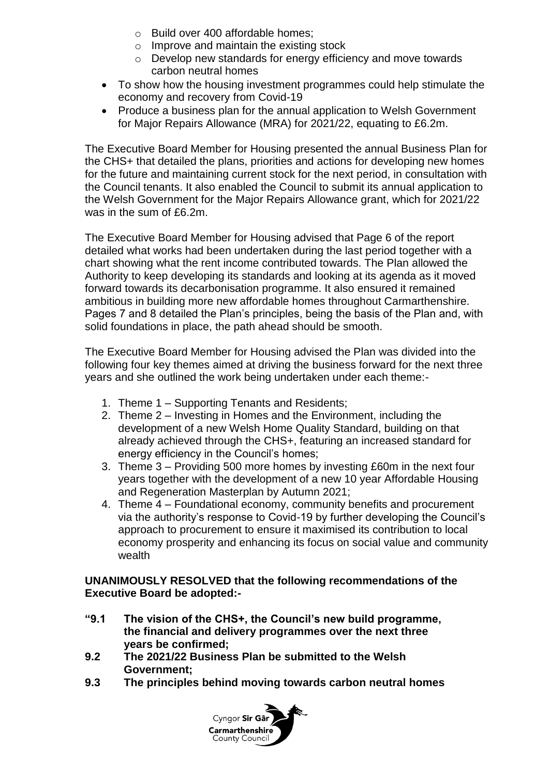- o Build over 400 affordable homes;
- o Improve and maintain the existing stock
- o Develop new standards for energy efficiency and move towards carbon neutral homes
- To show how the housing investment programmes could help stimulate the economy and recovery from Covid-19
- Produce a business plan for the annual application to Welsh Government for Major Repairs Allowance (MRA) for 2021/22, equating to £6.2m.

The Executive Board Member for Housing presented the annual Business Plan for the CHS+ that detailed the plans, priorities and actions for developing new homes for the future and maintaining current stock for the next period, in consultation with the Council tenants. It also enabled the Council to submit its annual application to the Welsh Government for the Major Repairs Allowance grant, which for 2021/22 was in the sum of £6.2m.

The Executive Board Member for Housing advised that Page 6 of the report detailed what works had been undertaken during the last period together with a chart showing what the rent income contributed towards. The Plan allowed the Authority to keep developing its standards and looking at its agenda as it moved forward towards its decarbonisation programme. It also ensured it remained ambitious in building more new affordable homes throughout Carmarthenshire. Pages 7 and 8 detailed the Plan's principles, being the basis of the Plan and, with solid foundations in place, the path ahead should be smooth.

The Executive Board Member for Housing advised the Plan was divided into the following four key themes aimed at driving the business forward for the next three years and she outlined the work being undertaken under each theme:-

- 1. Theme 1 Supporting Tenants and Residents;
- 2. Theme 2 Investing in Homes and the Environment, including the development of a new Welsh Home Quality Standard, building on that already achieved through the CHS+, featuring an increased standard for energy efficiency in the Council's homes;
- 3. Theme 3 Providing 500 more homes by investing £60m in the next four years together with the development of a new 10 year Affordable Housing and Regeneration Masterplan by Autumn 2021;
- 4. Theme 4 Foundational economy, community benefits and procurement via the authority's response to Covid-19 by further developing the Council's approach to procurement to ensure it maximised its contribution to local economy prosperity and enhancing its focus on social value and community wealth

## **UNANIMOUSLY RESOLVED that the following recommendations of the Executive Board be adopted:-**

- **"9.1 The vision of the CHS+, the Council's new build programme, the financial and delivery programmes over the next three years be confirmed;**
- **9.2 The 2021/22 Business Plan be submitted to the Welsh Government;**
- **9.3 The principles behind moving towards carbon neutral homes**

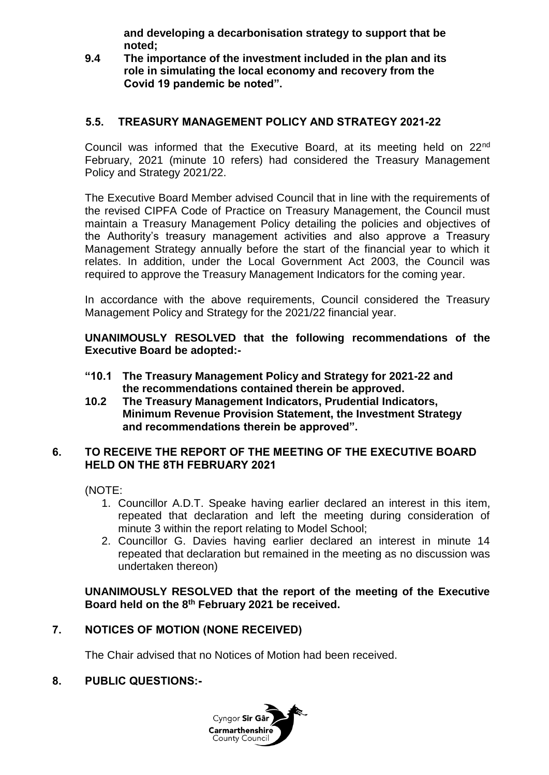**and developing a decarbonisation strategy to support that be noted;**

**9.4 The importance of the investment included in the plan and its role in simulating the local economy and recovery from the Covid 19 pandemic be noted".**

## **5.5. TREASURY MANAGEMENT POLICY AND STRATEGY 2021-22**

Council was informed that the Executive Board, at its meeting held on 22nd February, 2021 (minute 10 refers) had considered the Treasury Management Policy and Strategy 2021/22.

The Executive Board Member advised Council that in line with the requirements of the revised CIPFA Code of Practice on Treasury Management, the Council must maintain a Treasury Management Policy detailing the policies and objectives of the Authority's treasury management activities and also approve a Treasury Management Strategy annually before the start of the financial year to which it relates. In addition, under the Local Government Act 2003, the Council was required to approve the Treasury Management Indicators for the coming year.

In accordance with the above requirements, Council considered the Treasury Management Policy and Strategy for the 2021/22 financial year.

**UNANIMOUSLY RESOLVED that the following recommendations of the Executive Board be adopted:-**

- **"10.1 The Treasury Management Policy and Strategy for 2021-22 and the recommendations contained therein be approved.**
- **10.2 The Treasury Management Indicators, Prudential Indicators, Minimum Revenue Provision Statement, the Investment Strategy and recommendations therein be approved".**

#### **6. TO RECEIVE THE REPORT OF THE MEETING OF THE EXECUTIVE BOARD HELD ON THE 8TH FEBRUARY 2021**

(NOTE:

- 1. Councillor A.D.T. Speake having earlier declared an interest in this item, repeated that declaration and left the meeting during consideration of minute 3 within the report relating to Model School;
- 2. Councillor G. Davies having earlier declared an interest in minute 14 repeated that declaration but remained in the meeting as no discussion was undertaken thereon)

## **UNANIMOUSLY RESOLVED that the report of the meeting of the Executive Board held on the 8th February 2021 be received.**

## **7. NOTICES OF MOTION (NONE RECEIVED)**

The Chair advised that no Notices of Motion had been received.

#### **8. PUBLIC QUESTIONS:-**

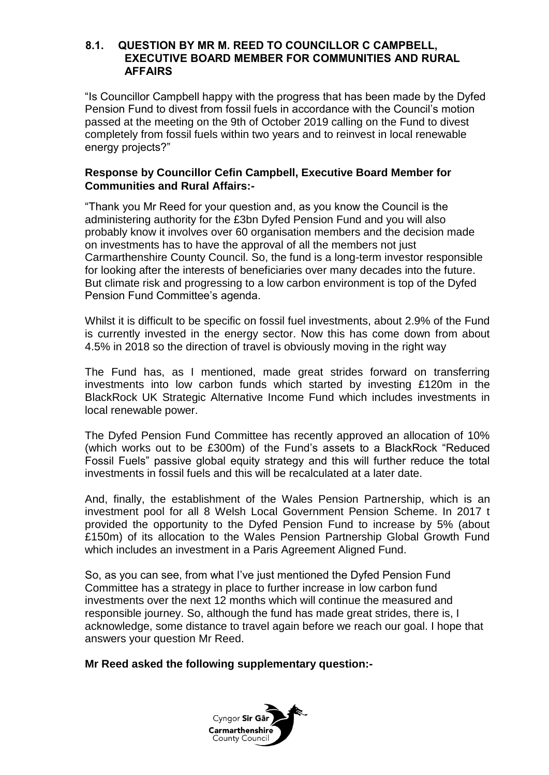#### **8.1. QUESTION BY MR M. REED TO COUNCILLOR C CAMPBELL, EXECUTIVE BOARD MEMBER FOR COMMUNITIES AND RURAL AFFAIRS**

"Is Councillor Campbell happy with the progress that has been made by the Dyfed Pension Fund to divest from fossil fuels in accordance with the Council's motion passed at the meeting on the 9th of October 2019 calling on the Fund to divest completely from fossil fuels within two years and to reinvest in local renewable energy projects?"

#### **Response by Councillor Cefin Campbell, Executive Board Member for Communities and Rural Affairs:-**

"Thank you Mr Reed for your question and, as you know the Council is the administering authority for the £3bn Dyfed Pension Fund and you will also probably know it involves over 60 organisation members and the decision made on investments has to have the approval of all the members not just Carmarthenshire County Council. So, the fund is a long-term investor responsible for looking after the interests of beneficiaries over many decades into the future. But climate risk and progressing to a low carbon environment is top of the Dyfed Pension Fund Committee's agenda.

Whilst it is difficult to be specific on fossil fuel investments, about 2.9% of the Fund is currently invested in the energy sector. Now this has come down from about 4.5% in 2018 so the direction of travel is obviously moving in the right way

The Fund has, as I mentioned, made great strides forward on transferring investments into low carbon funds which started by investing £120m in the BlackRock UK Strategic Alternative Income Fund which includes investments in local renewable power.

The Dyfed Pension Fund Committee has recently approved an allocation of 10% (which works out to be £300m) of the Fund's assets to a BlackRock "Reduced Fossil Fuels" passive global equity strategy and this will further reduce the total investments in fossil fuels and this will be recalculated at a later date.

And, finally, the establishment of the Wales Pension Partnership, which is an investment pool for all 8 Welsh Local Government Pension Scheme. In 2017 t provided the opportunity to the Dyfed Pension Fund to increase by 5% (about £150m) of its allocation to the Wales Pension Partnership Global Growth Fund which includes an investment in a Paris Agreement Aligned Fund.

So, as you can see, from what I've just mentioned the Dyfed Pension Fund Committee has a strategy in place to further increase in low carbon fund investments over the next 12 months which will continue the measured and responsible journey. So, although the fund has made great strides, there is, I acknowledge, some distance to travel again before we reach our goal. I hope that answers your question Mr Reed.

#### **Mr Reed asked the following supplementary question:-**

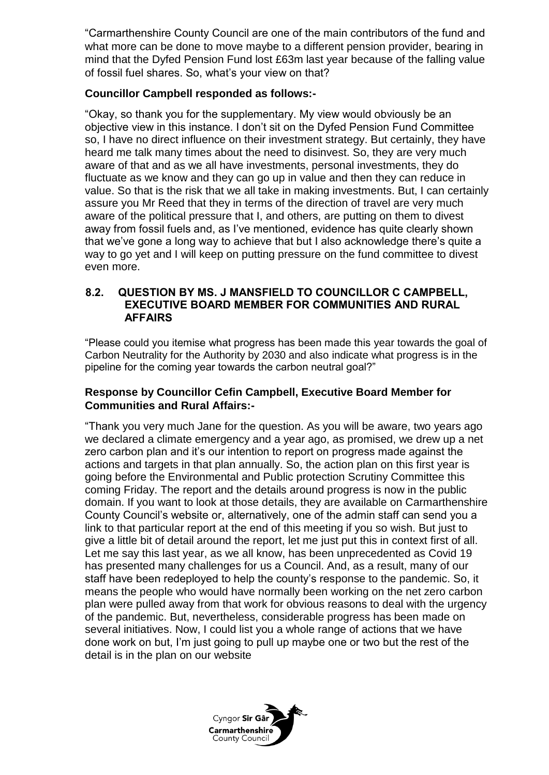"Carmarthenshire County Council are one of the main contributors of the fund and what more can be done to move maybe to a different pension provider, bearing in mind that the Dyfed Pension Fund lost £63m last year because of the falling value of fossil fuel shares. So, what's your view on that?

## **Councillor Campbell responded as follows:-**

"Okay, so thank you for the supplementary. My view would obviously be an objective view in this instance. I don't sit on the Dyfed Pension Fund Committee so, I have no direct influence on their investment strategy. But certainly, they have heard me talk many times about the need to disinvest. So, they are very much aware of that and as we all have investments, personal investments, they do fluctuate as we know and they can go up in value and then they can reduce in value. So that is the risk that we all take in making investments. But, I can certainly assure you Mr Reed that they in terms of the direction of travel are very much aware of the political pressure that I, and others, are putting on them to divest away from fossil fuels and, as I've mentioned, evidence has quite clearly shown that we've gone a long way to achieve that but I also acknowledge there's quite a way to go yet and I will keep on putting pressure on the fund committee to divest even more.

#### **8.2. QUESTION BY MS. J MANSFIELD TO COUNCILLOR C CAMPBELL, EXECUTIVE BOARD MEMBER FOR COMMUNITIES AND RURAL AFFAIRS**

"Please could you itemise what progress has been made this year towards the goal of Carbon Neutrality for the Authority by 2030 and also indicate what progress is in the pipeline for the coming year towards the carbon neutral goal?"

## **Response by Councillor Cefin Campbell, Executive Board Member for Communities and Rural Affairs:-**

"Thank you very much Jane for the question. As you will be aware, two years ago we declared a climate emergency and a year ago, as promised, we drew up a net zero carbon plan and it's our intention to report on progress made against the actions and targets in that plan annually. So, the action plan on this first year is going before the Environmental and Public protection Scrutiny Committee this coming Friday. The report and the details around progress is now in the public domain. If you want to look at those details, they are available on Carmarthenshire County Council's website or, alternatively, one of the admin staff can send you a link to that particular report at the end of this meeting if you so wish. But just to give a little bit of detail around the report, let me just put this in context first of all. Let me say this last year, as we all know, has been unprecedented as Covid 19 has presented many challenges for us a Council. And, as a result, many of our staff have been redeployed to help the county's response to the pandemic. So, it means the people who would have normally been working on the net zero carbon plan were pulled away from that work for obvious reasons to deal with the urgency of the pandemic. But, nevertheless, considerable progress has been made on several initiatives. Now, I could list you a whole range of actions that we have done work on but, I'm just going to pull up maybe one or two but the rest of the detail is in the plan on our website

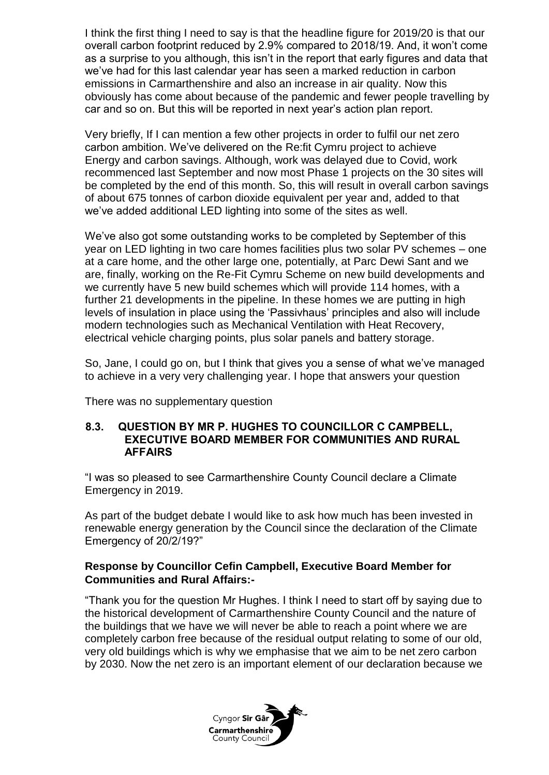I think the first thing I need to say is that the headline figure for 2019/20 is that our overall carbon footprint reduced by 2.9% compared to 2018/19. And, it won't come as a surprise to you although, this isn't in the report that early figures and data that we've had for this last calendar year has seen a marked reduction in carbon emissions in Carmarthenshire and also an increase in air quality. Now this obviously has come about because of the pandemic and fewer people travelling by car and so on. But this will be reported in next year's action plan report.

Very briefly, If I can mention a few other projects in order to fulfil our net zero carbon ambition. We've delivered on the Re:fit Cymru project to achieve Energy and carbon savings. Although, work was delayed due to Covid, work recommenced last September and now most Phase 1 projects on the 30 sites will be completed by the end of this month. So, this will result in overall carbon savings of about 675 tonnes of carbon dioxide equivalent per year and, added to that we've added additional LED lighting into some of the sites as well.

We've also got some outstanding works to be completed by September of this year on LED lighting in two care homes facilities plus two solar PV schemes – one at a care home, and the other large one, potentially, at Parc Dewi Sant and we are, finally, working on the Re-Fit Cymru Scheme on new build developments and we currently have 5 new build schemes which will provide 114 homes, with a further 21 developments in the pipeline. In these homes we are putting in high levels of insulation in place using the 'Passivhaus' principles and also will include modern technologies such as Mechanical Ventilation with Heat Recovery, electrical vehicle charging points, plus solar panels and battery storage.

So, Jane, I could go on, but I think that gives you a sense of what we've managed to achieve in a very very challenging year. I hope that answers your question

There was no supplementary question

#### **8.3. QUESTION BY MR P. HUGHES TO COUNCILLOR C CAMPBELL, EXECUTIVE BOARD MEMBER FOR COMMUNITIES AND RURAL AFFAIRS**

"I was so pleased to see Carmarthenshire County Council declare a Climate Emergency in 2019.

As part of the budget debate I would like to ask how much has been invested in renewable energy generation by the Council since the declaration of the Climate Emergency of 20/2/19?"

## **Response by Councillor Cefin Campbell, Executive Board Member for Communities and Rural Affairs:-**

"Thank you for the question Mr Hughes. I think I need to start off by saying due to the historical development of Carmarthenshire County Council and the nature of the buildings that we have we will never be able to reach a point where we are completely carbon free because of the residual output relating to some of our old, very old buildings which is why we emphasise that we aim to be net zero carbon by 2030. Now the net zero is an important element of our declaration because we

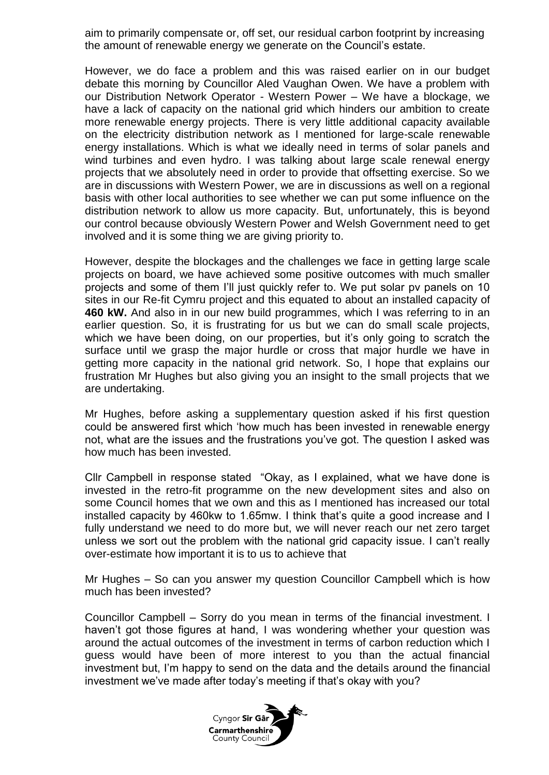aim to primarily compensate or, off set, our residual carbon footprint by increasing the amount of renewable energy we generate on the Council's estate.

However, we do face a problem and this was raised earlier on in our budget debate this morning by Councillor Aled Vaughan Owen. We have a problem with our Distribution Network Operator - Western Power – We have a blockage, we have a lack of capacity on the national grid which hinders our ambition to create more renewable energy projects. There is very little additional [capacity available](https://www.westernpower.co.uk/our-network/network-capacity-map-application)  [on the electricity distribution network](https://www.westernpower.co.uk/our-network/network-capacity-map-application) as I mentioned for large-scale renewable energy installations. Which is what we ideally need in terms of solar panels and wind turbines and even hydro. I was talking about large scale renewal energy projects that we absolutely need in order to provide that offsetting exercise. So we are in discussions with Western Power, we are in discussions as well on a regional basis with other local authorities to see whether we can put some influence on the distribution network to allow us more capacity. But, unfortunately, this is beyond our control because obviously Western Power and Welsh Government need to get involved and it is some thing we are giving priority to.

However, despite the blockages and the challenges we face in getting large scale projects on board, we have achieved some positive outcomes with much smaller projects and some of them I'll just quickly refer to. We put solar pv panels on 10 sites in our Re-fit Cymru project and this equated to about an installed capacity of **460 kW.** And also in in our new build programmes, which I was referring to in an earlier question. So, it is frustrating for us but we can do small scale projects, which we have been doing, on our properties, but it's only going to scratch the surface until we grasp the major hurdle or cross that major hurdle we have in getting more capacity in the national grid network. So, I hope that explains our frustration Mr Hughes but also giving you an insight to the small projects that we are undertaking.

Mr Hughes, before asking a supplementary question asked if his first question could be answered first which 'how much has been invested in renewable energy not, what are the issues and the frustrations you've got. The question I asked was how much has been invested.

Cllr Campbell in response stated "Okay, as I explained, what we have done is invested in the retro-fit programme on the new development sites and also on some Council homes that we own and this as I mentioned has increased our total installed capacity by 460kw to 1.65mw. I think that's quite a good increase and I fully understand we need to do more but, we will never reach our net zero target unless we sort out the problem with the national grid capacity issue. I can't really over-estimate how important it is to us to achieve that

Mr Hughes – So can you answer my question Councillor Campbell which is how much has been invested?

Councillor Campbell – Sorry do you mean in terms of the financial investment. I haven't got those figures at hand, I was wondering whether your question was around the actual outcomes of the investment in terms of carbon reduction which I guess would have been of more interest to you than the actual financial investment but, I'm happy to send on the data and the details around the financial investment we've made after today's meeting if that's okay with you?

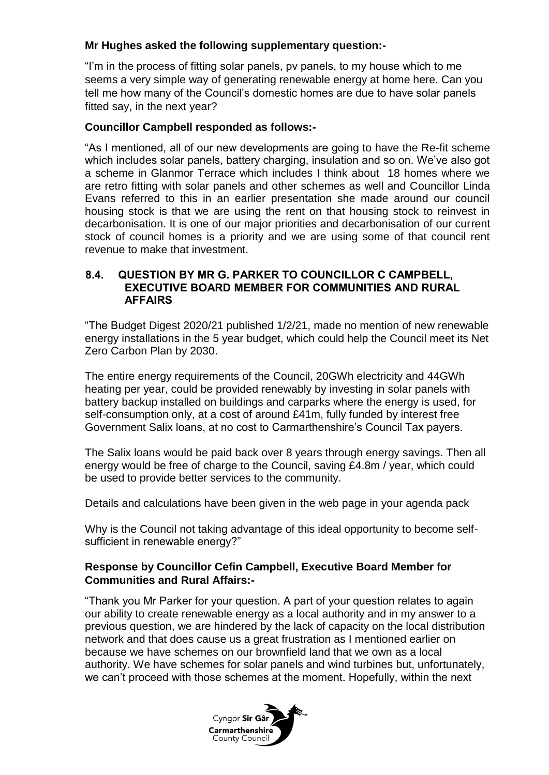## **Mr Hughes asked the following supplementary question:-**

"I'm in the process of fitting solar panels, pv panels, to my house which to me seems a very simple way of generating renewable energy at home here. Can you tell me how many of the Council's domestic homes are due to have solar panels fitted say, in the next year?

### **Councillor Campbell responded as follows:-**

"As I mentioned, all of our new developments are going to have the Re-fit scheme which includes solar panels, battery charging, insulation and so on. We've also got a scheme in Glanmor Terrace which includes I think about 18 homes where we are retro fitting with solar panels and other schemes as well and Councillor Linda Evans referred to this in an earlier presentation she made around our council housing stock is that we are using the rent on that housing stock to reinvest in decarbonisation. It is one of our major priorities and decarbonisation of our current stock of council homes is a priority and we are using some of that council rent revenue to make that investment.

#### **8.4. QUESTION BY MR G. PARKER TO COUNCILLOR C CAMPBELL, EXECUTIVE BOARD MEMBER FOR COMMUNITIES AND RURAL AFFAIRS**

"The Budget Digest 2020/21 published 1/2/21, made no mention of new renewable energy installations in the 5 year budget, which could help the Council meet its Net Zero Carbon Plan by 2030.

The entire energy requirements of the Council, 20GWh electricity and 44GWh heating per year, could be provided renewably by investing in solar panels with battery backup installed on buildings and carparks where the energy is used, for self-consumption only, at a cost of around £41m, fully funded by interest free Government Salix loans, at no cost to Carmarthenshire's Council Tax payers.

The Salix loans would be paid back over 8 years through energy savings. Then all energy would be free of charge to the Council, saving £4.8m / year, which could be used to provide better services to the community.

Details and calculations have been given in the web page in your agenda pack

Why is the Council not taking advantage of this ideal opportunity to become selfsufficient in renewable energy?"

## **Response by Councillor Cefin Campbell, Executive Board Member for Communities and Rural Affairs:-**

"Thank you Mr Parker for your question. A part of your question relates to again our ability to create renewable energy as a local authority and in my answer to a previous question, we are hindered by the lack of capacity on the local distribution network and that does cause us a great frustration as I mentioned earlier on because we have schemes on our brownfield land that we own as a local authority. We have schemes for solar panels and wind turbines but, unfortunately, we can't proceed with those schemes at the moment. Hopefully, within the next

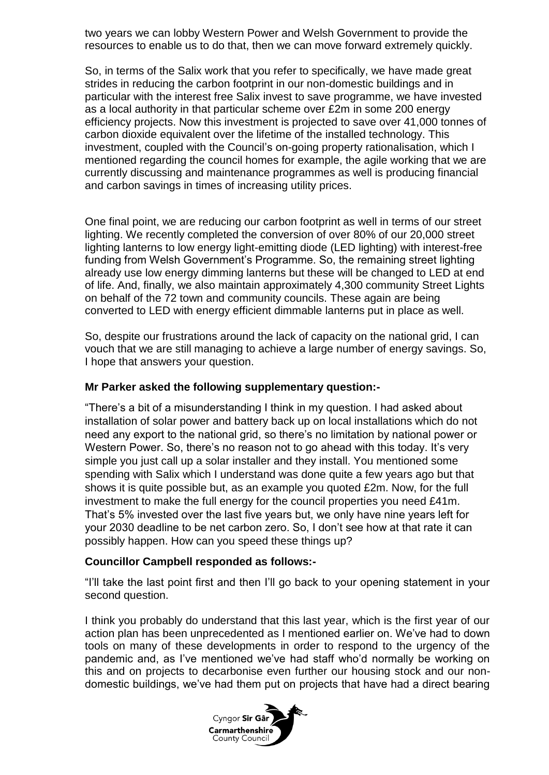two years we can lobby Western Power and Welsh Government to provide the resources to enable us to do that, then we can move forward extremely quickly.

So, in terms of the Salix work that you refer to specifically, we have made great strides in reducing the carbon footprint in our non-domestic buildings and in particular with the interest free Salix invest to save programme, we have invested as a local authority in that particular scheme over £2m in some 200 energy efficiency projects. Now this investment is projected to save over 41,000 tonnes of carbon dioxide equivalent over the lifetime of the installed technology. This investment, coupled with the Council's on-going property rationalisation, which I mentioned regarding the council homes for example, the agile working that we are currently discussing and maintenance programmes as well is producing financial and carbon savings in times of increasing utility prices.

One final point, we are reducing our carbon footprint as well in terms of our street lighting. We recently completed the conversion of over 80% of our 20,000 street lighting lanterns to low energy light-emitting diode (LED lighting) with interest-free funding from Welsh Government's Programme. So, the remaining street lighting already use low energy dimming lanterns but these will be changed to LED at end of life. And, finally, we also maintain approximately 4,300 community Street Lights on behalf of the 72 town and community councils. These again are being converted to LED with energy efficient dimmable lanterns put in place as well.

So, despite our frustrations around the lack of capacity on the national grid, I can vouch that we are still managing to achieve a large number of energy savings. So, I hope that answers your question.

#### **Mr Parker asked the following supplementary question:-**

"There's a bit of a misunderstanding I think in my question. I had asked about installation of solar power and battery back up on local installations which do not need any export to the national grid, so there's no limitation by national power or Western Power. So, there's no reason not to go ahead with this today. It's very simple you just call up a solar installer and they install. You mentioned some spending with Salix which I understand was done quite a few years ago but that shows it is quite possible but, as an example you quoted £2m. Now, for the full investment to make the full energy for the council properties you need £41m. That's 5% invested over the last five years but, we only have nine years left for your 2030 deadline to be net carbon zero. So, I don't see how at that rate it can possibly happen. How can you speed these things up?

#### **Councillor Campbell responded as follows:-**

"I'll take the last point first and then I'll go back to your opening statement in your second question.

I think you probably do understand that this last year, which is the first year of our action plan has been unprecedented as I mentioned earlier on. We've had to down tools on many of these developments in order to respond to the urgency of the pandemic and, as I've mentioned we've had staff who'd normally be working on this and on projects to decarbonise even further our housing stock and our nondomestic buildings, we've had them put on projects that have had a direct bearing

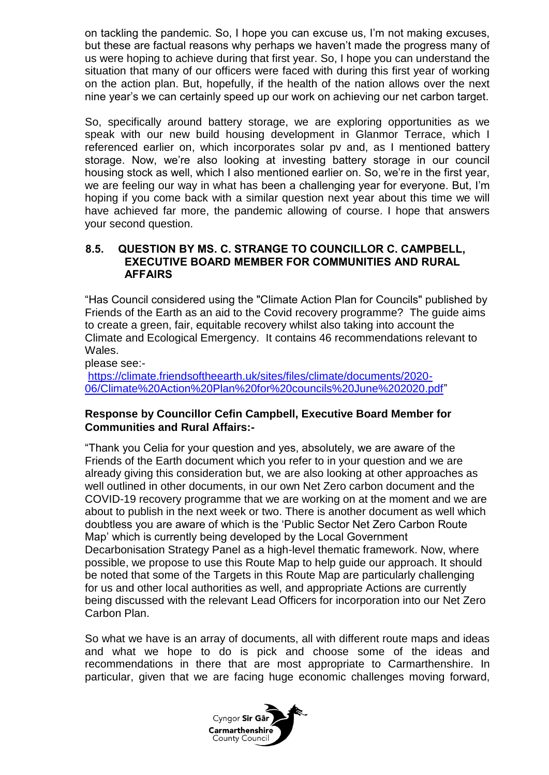on tackling the pandemic. So, I hope you can excuse us, I'm not making excuses, but these are factual reasons why perhaps we haven't made the progress many of us were hoping to achieve during that first year. So, I hope you can understand the situation that many of our officers were faced with during this first year of working on the action plan. But, hopefully, if the health of the nation allows over the next nine year's we can certainly speed up our work on achieving our net carbon target.

So, specifically around battery storage, we are exploring opportunities as we speak with our new build housing development in Glanmor Terrace, which I referenced earlier on, which incorporates solar pv and, as I mentioned battery storage. Now, we're also looking at investing battery storage in our council housing stock as well, which I also mentioned earlier on. So, we're in the first year, we are feeling our way in what has been a challenging year for everyone. But, I'm hoping if you come back with a similar question next year about this time we will have achieved far more, the pandemic allowing of course. I hope that answers your second question.

## **8.5. QUESTION BY MS. C. STRANGE TO COUNCILLOR C. CAMPBELL, EXECUTIVE BOARD MEMBER FOR COMMUNITIES AND RURAL AFFAIRS**

"Has Council considered using the "Climate Action Plan for Councils" published by Friends of the Earth as an aid to the Covid recovery programme? The guide aims to create a green, fair, equitable recovery whilst also taking into account the Climate and Ecological Emergency. It contains 46 recommendations relevant to Wales.

please see:-

[https://climate.friendsoftheearth.uk/sites/files/climate/documents/2020-](https://climate.friendsoftheearth.uk/sites/files/climate/documents/2020-06/Climate%20Action%20Plan%20for%20councils%20June%202020.pdf) [06/Climate%20Action%20Plan%20for%20councils%20June%202020.pdf"](https://climate.friendsoftheearth.uk/sites/files/climate/documents/2020-06/Climate%20Action%20Plan%20for%20councils%20June%202020.pdf)

#### **Response by Councillor Cefin Campbell, Executive Board Member for Communities and Rural Affairs:-**

"Thank you Celia for your question and yes, absolutely, we are aware of the Friends of the Earth document which you refer to in your question and we are already giving this consideration but, we are also looking at other approaches as well outlined in other documents, in our own Net Zero carbon document and the COVID-19 recovery programme that we are working on at the moment and we are about to publish in the next week or two. There is another document as well which doubtless you are aware of which is the 'Public Sector Net Zero Carbon Route Map' which is currently being developed by the Local Government Decarbonisation Strategy Panel as a high-level thematic framework. Now, where possible, we propose to use this Route Map to help guide our approach. It should be noted that some of the Targets in this Route Map are particularly challenging for us and other local authorities as well, and appropriate Actions are currently being discussed with the relevant Lead Officers for incorporation into our Net Zero Carbon Plan.

So what we have is an array of documents, all with different route maps and ideas and what we hope to do is pick and choose some of the ideas and recommendations in there that are most appropriate to Carmarthenshire. In particular, given that we are facing huge economic challenges moving forward,

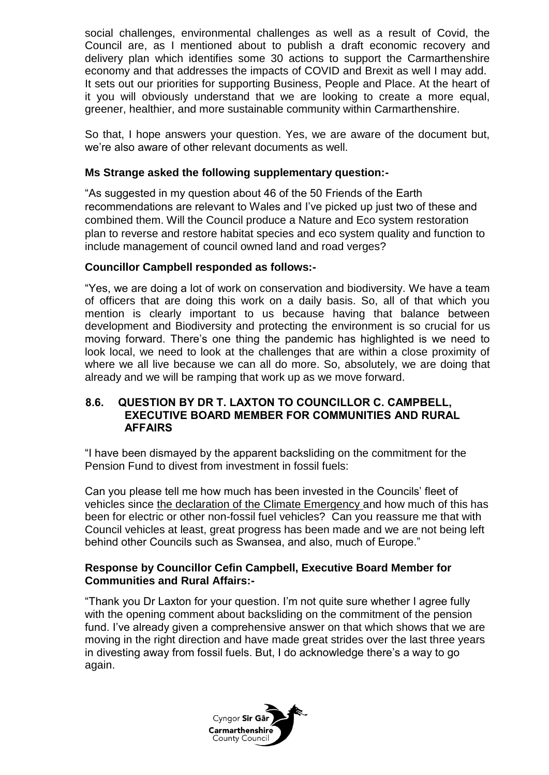social challenges, environmental challenges as well as a result of Covid, the Council are, as I mentioned about to publish a draft economic recovery and delivery plan which identifies some 30 actions to support the Carmarthenshire economy and that addresses the impacts of COVID and Brexit as well I may add. It sets out our priorities for supporting Business, People and Place. At the heart of it you will obviously understand that we are looking to create a more equal, greener, healthier, and more sustainable community within Carmarthenshire.

So that, I hope answers your question. Yes, we are aware of the document but, we're also aware of other relevant documents as well.

## **Ms Strange asked the following supplementary question:-**

"As suggested in my question about 46 of the 50 Friends of the Earth recommendations are relevant to Wales and I've picked up just two of these and combined them. Will the Council produce a Nature and Eco system restoration plan to reverse and restore habitat species and eco system quality and function to include management of council owned land and road verges?

#### **Councillor Campbell responded as follows:-**

"Yes, we are doing a lot of work on conservation and biodiversity. We have a team of officers that are doing this work on a daily basis. So, all of that which you mention is clearly important to us because having that balance between development and Biodiversity and protecting the environment is so crucial for us moving forward. There's one thing the pandemic has highlighted is we need to look local, we need to look at the challenges that are within a close proximity of where we all live because we can all do more. So, absolutely, we are doing that already and we will be ramping that work up as we move forward.

#### **8.6. QUESTION BY DR T. LAXTON TO COUNCILLOR C. CAMPBELL, EXECUTIVE BOARD MEMBER FOR COMMUNITIES AND RURAL AFFAIRS**

"I have been dismayed by the apparent backsliding on the commitment for the Pension Fund to divest from investment in fossil fuels:

Can you please tell me how much has been invested in the Councils' fleet of vehicles since the declaration of the Climate Emergency and how much of this has been for electric or other non-fossil fuel vehicles? Can you reassure me that with Council vehicles at least, great progress has been made and we are not being left behind other Councils such as Swansea, and also, much of Europe."

#### **Response by Councillor Cefin Campbell, Executive Board Member for Communities and Rural Affairs:-**

"Thank you Dr Laxton for your question. I'm not quite sure whether I agree fully with the opening comment about backsliding on the commitment of the pension fund. I've already given a comprehensive answer on that which shows that we are moving in the right direction and have made great strides over the last three years in divesting away from fossil fuels. But, I do acknowledge there's a way to go again.

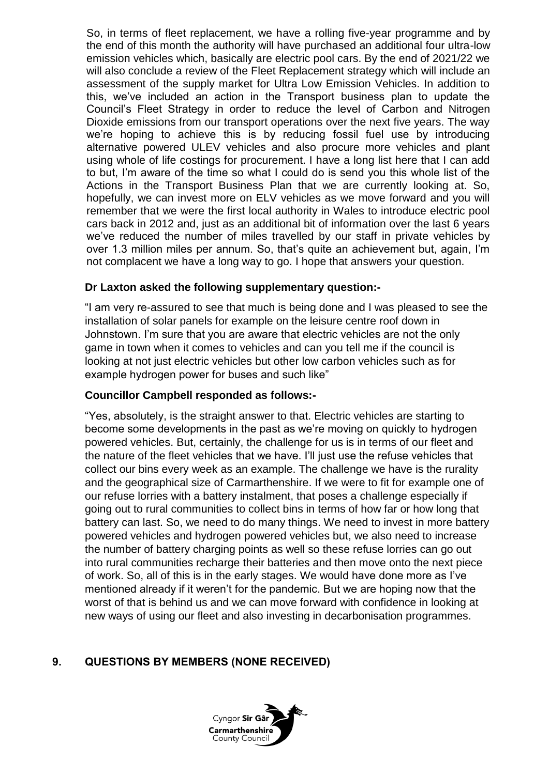So, in terms of fleet replacement, we have a rolling five-year programme and by the end of this month the authority will have purchased an additional four ultra-low emission vehicles which, basically are electric pool cars. By the end of 2021/22 we will also conclude a review of the Fleet Replacement strategy which will include an assessment of the supply market for Ultra Low Emission Vehicles. In addition to this, we've included an action in the Transport business plan to update the Council's Fleet Strategy in order to reduce the level of Carbon and Nitrogen Dioxide emissions from our transport operations over the next five years. The way we're hoping to achieve this is by reducing fossil fuel use by introducing alternative powered ULEV vehicles and also procure more vehicles and plant using whole of life costings for procurement. I have a long list here that I can add to but, I'm aware of the time so what I could do is send you this whole list of the Actions in the Transport Business Plan that we are currently looking at. So, hopefully, we can invest more on ELV vehicles as we move forward and you will remember that we were the first local authority in Wales to introduce electric pool cars back in 2012 and, just as an additional bit of information over the last 6 years we've reduced the number of miles travelled by our staff in private vehicles by over 1.3 million miles per annum. So, that's quite an achievement but, again, I'm not complacent we have a long way to go. I hope that answers your question.

## **Dr Laxton asked the following supplementary question:-**

"I am very re-assured to see that much is being done and I was pleased to see the installation of solar panels for example on the leisure centre roof down in Johnstown. I'm sure that you are aware that electric vehicles are not the only game in town when it comes to vehicles and can you tell me if the council is looking at not just electric vehicles but other low carbon vehicles such as for example hydrogen power for buses and such like"

#### **Councillor Campbell responded as follows:-**

"Yes, absolutely, is the straight answer to that. Electric vehicles are starting to become some developments in the past as we're moving on quickly to hydrogen powered vehicles. But, certainly, the challenge for us is in terms of our fleet and the nature of the fleet vehicles that we have. I'll just use the refuse vehicles that collect our bins every week as an example. The challenge we have is the rurality and the geographical size of Carmarthenshire. If we were to fit for example one of our refuse lorries with a battery instalment, that poses a challenge especially if going out to rural communities to collect bins in terms of how far or how long that battery can last. So, we need to do many things. We need to invest in more battery powered vehicles and hydrogen powered vehicles but, we also need to increase the number of battery charging points as well so these refuse lorries can go out into rural communities recharge their batteries and then move onto the next piece of work. So, all of this is in the early stages. We would have done more as I've mentioned already if it weren't for the pandemic. But we are hoping now that the worst of that is behind us and we can move forward with confidence in looking at new ways of using our fleet and also investing in decarbonisation programmes.

## **9. QUESTIONS BY MEMBERS (NONE RECEIVED)**